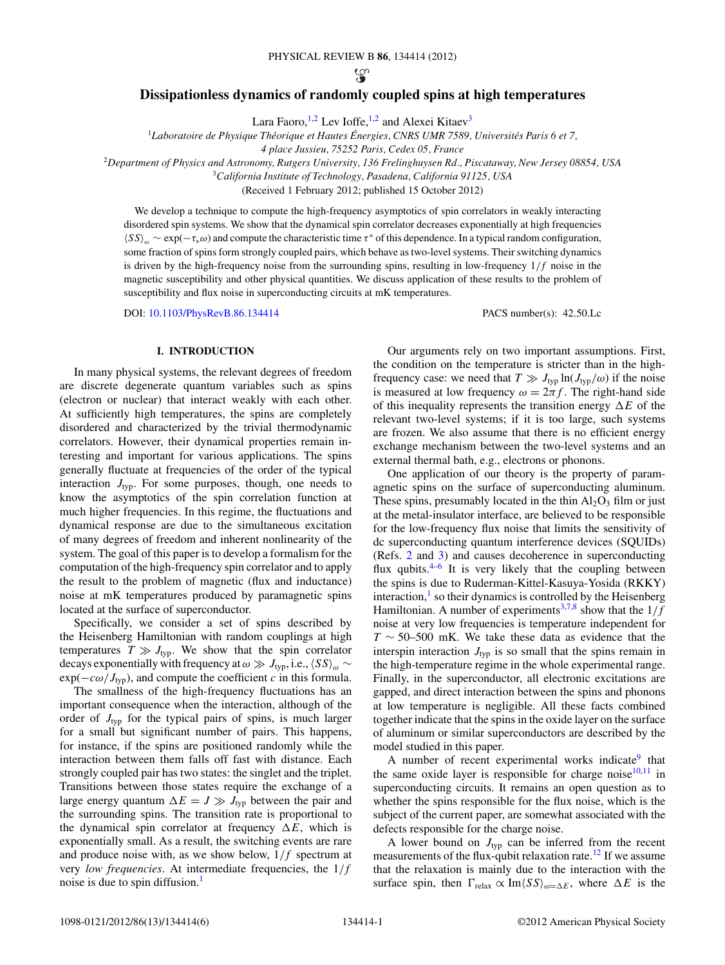#### PHYSICAL REVIEW B **86**, 134414 (2012)

ယ္စ

# **Dissipationless dynamics of randomly coupled spins at high temperatures**

Lara Faoro,<sup>1,2</sup> Lev Ioffe,<sup>1,2</sup> and Alexei Kitaev<sup>3</sup>

<sup>1</sup>Laboratoire de Physique Théorique et Hautes Énergies, CNRS UMR 7589, Universités Paris 6 et 7,

*4 place Jussieu, 75252 Paris, Cedex 05, France*

<sup>2</sup>*Department of Physics and Astronomy, Rutgers University, 136 Frelinghuysen Rd., Piscataway, New Jersey 08854, USA*

<sup>3</sup>*California Institute of Technology, Pasadena, California 91125, USA*

(Received 1 February 2012; published 15 October 2012)

We develop a technique to compute the high-frequency asymptotics of spin correlators in weakly interacting disordered spin systems. We show that the dynamical spin correlator decreases exponentially at high frequencies -*SS<sup>ω</sup>* ∼ exp(−*τ*∗*ω*) and compute the characteristic time *τ* <sup>∗</sup> of this dependence. In a typical random configuration, some fraction of spins form strongly coupled pairs, which behave as two-level systems. Their switching dynamics is driven by the high-frequency noise from the surrounding spins, resulting in low-frequency 1*/f* noise in the magnetic susceptibility and other physical quantities. We discuss application of these results to the problem of susceptibility and flux noise in superconducting circuits at mK temperatures.

DOI: [10.1103/PhysRevB.86.134414](http://dx.doi.org/10.1103/PhysRevB.86.134414) PACS number(s): 42*.*50*.*Lc

### **I. INTRODUCTION**

In many physical systems, the relevant degrees of freedom are discrete degenerate quantum variables such as spins (electron or nuclear) that interact weakly with each other. At sufficiently high temperatures, the spins are completely disordered and characterized by the trivial thermodynamic correlators. However, their dynamical properties remain interesting and important for various applications. The spins generally fluctuate at frequencies of the order of the typical interaction  $J_{typ}$ . For some purposes, though, one needs to know the asymptotics of the spin correlation function at much higher frequencies. In this regime, the fluctuations and dynamical response are due to the simultaneous excitation of many degrees of freedom and inherent nonlinearity of the system. The goal of this paper is to develop a formalism for the computation of the high-frequency spin correlator and to apply the result to the problem of magnetic (flux and inductance) noise at mK temperatures produced by paramagnetic spins located at the surface of superconductor.

Specifically, we consider a set of spins described by the Heisenberg Hamiltonian with random couplings at high temperatures  $T \gg J_{\text{typ}}$ . We show that the spin correlator decays exponentially with frequency at  $\omega \gg J_{\text{typ}}$ , i.e.,  $\langle SS \rangle_{\omega} \sim$  $\exp(-c\omega/J_{\text{typ}})$ , and compute the coefficient *c* in this formula.

The smallness of the high-frequency fluctuations has an important consequence when the interaction, although of the order of  $J_{\text{typ}}$  for the typical pairs of spins, is much larger for a small but significant number of pairs. This happens, for instance, if the spins are positioned randomly while the interaction between them falls off fast with distance. Each strongly coupled pair has two states: the singlet and the triplet. Transitions between those states require the exchange of a large energy quantum  $\Delta E = J \gg J_{\text{typ}}$  between the pair and the surrounding spins. The transition rate is proportional to the dynamical spin correlator at frequency  $\Delta E$ , which is exponentially small. As a result, the switching events are rare and produce noise with, as we show below, 1*/f* spectrum at very *low frequencies*. At intermediate frequencies, the 1*/f* noise is due to spin diffusion[.1](#page-5-0)

Our arguments rely on two important assumptions. First, the condition on the temperature is stricter than in the highfrequency case: we need that  $T \gg J_{\text{typ}} \ln(J_{\text{typ}}/\omega)$  if the noise is measured at low frequency  $\omega = 2\pi f$ . The right-hand side of this inequality represents the transition energy  $\Delta E$  of the relevant two-level systems; if it is too large, such systems are frozen. We also assume that there is no efficient energy exchange mechanism between the two-level systems and an external thermal bath, e.g., electrons or phonons.

One application of our theory is the property of paramagnetic spins on the surface of superconducting aluminum. These spins, presumably located in the thin  $Al_2O_3$  film or just at the metal-insulator interface, are believed to be responsible for the low-frequency flux noise that limits the sensitivity of dc superconducting quantum interference devices (SQUIDs) (Refs. [2](#page-5-0) and [3\)](#page-5-0) and causes decoherence in superconducting flux qubits. $4-6$  It is very likely that the coupling between the spins is due to Ruderman-Kittel-Kasuya-Yosida (RKKY) interaction, $\frac{1}{1}$  so their dynamics is controlled by the Heisenberg Hamiltonian. A number of experiments<sup>[3,7,8](#page-5-0)</sup> show that the  $1/f$ noise at very low frequencies is temperature independent for *T* ∼ 50–500 mK. We take these data as evidence that the interspin interaction  $J_{\text{typ}}$  is so small that the spins remain in the high-temperature regime in the whole experimental range. Finally, in the superconductor, all electronic excitations are gapped, and direct interaction between the spins and phonons at low temperature is negligible. All these facts combined together indicate that the spins in the oxide layer on the surface of aluminum or similar superconductors are described by the model studied in this paper.

A number of recent experimental works indicate $9$  that the same oxide layer is responsible for charge noise $10,11$  in superconducting circuits. It remains an open question as to whether the spins responsible for the flux noise, which is the subject of the current paper, are somewhat associated with the defects responsible for the charge noise.

A lower bound on  $J_{typ}$  can be inferred from the recent measurements of the flux-qubit relaxation rate.<sup>12</sup> If we assume that the relaxation is mainly due to the interaction with the surface spin, then  $\Gamma_{\text{relax}} \propto \text{Im}\langle SS \rangle_{\omega=\Delta E}$ , where  $\Delta E$  is the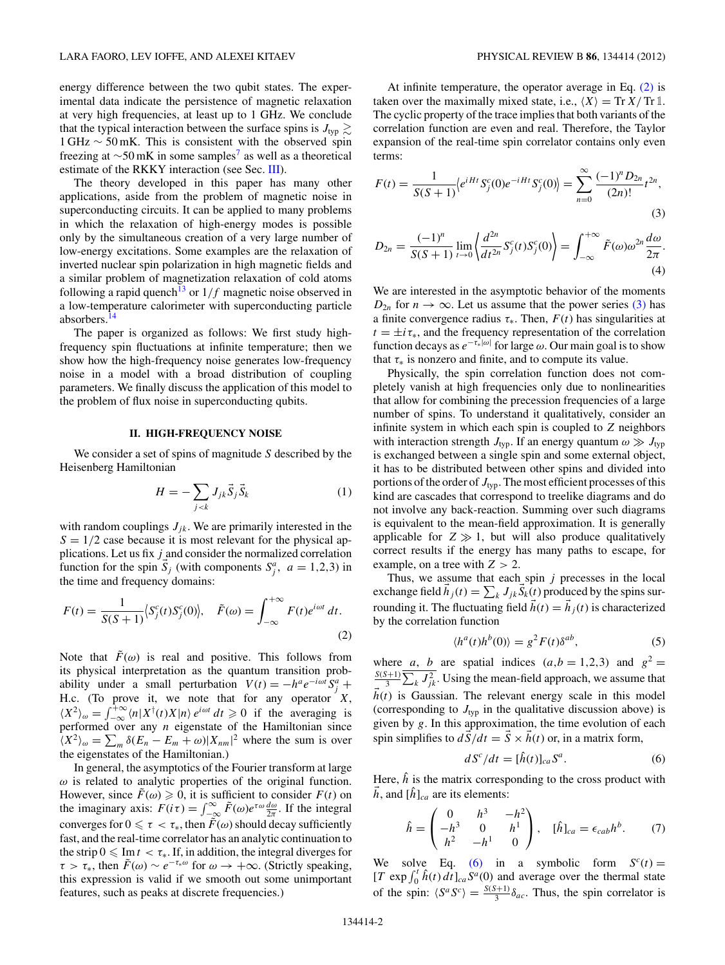<span id="page-1-0"></span>energy difference between the two qubit states. The experimental data indicate the persistence of magnetic relaxation at very high frequencies, at least up to 1 GHz. We conclude that the typical interaction between the surface spins is  $J_{\text{typ}} \gtrsim$ 1 GHz ∼ 50 mK. This is consistent with the observed spin freezing at  $\sim$ 50 mK in some samples<sup>7</sup> as well as a theoretical estimate of the RKKY interaction (see Sec. [III\)](#page-2-0).

The theory developed in this paper has many other applications, aside from the problem of magnetic noise in superconducting circuits. It can be applied to many problems in which the relaxation of high-energy modes is possible only by the simultaneous creation of a very large number of low-energy excitations. Some examples are the relaxation of inverted nuclear spin polarization in high magnetic fields and a similar problem of magnetization relaxation of cold atoms following a rapid quench<sup>13</sup> or  $1/f$  magnetic noise observed in a low-temperature calorimeter with superconducting particle absorbers[.14](#page-5-0)

The paper is organized as follows: We first study highfrequency spin fluctuations at infinite temperature; then we show how the high-frequency noise generates low-frequency noise in a model with a broad distribution of coupling parameters. We finally discuss the application of this model to the problem of flux noise in superconducting qubits.

#### **II. HIGH-FREQUENCY NOISE**

We consider a set of spins of magnitude *S* described by the Heisenberg Hamiltonian

$$
H = -\sum_{j < k} J_{jk} \vec{S}_j \vec{S}_k \tag{1}
$$

with random couplings  $J_{ik}$ . We are primarily interested in the  $S = 1/2$  case because it is most relevant for the physical applications. Let us fix *j* and consider the normalized correlation function for the spin  $\overline{S}_j$  (with components  $S_j^a$ ,  $a = 1,2,3$ ) in the time and frequency domains:

$$
F(t) = \frac{1}{S(S+1)} \langle S_j^c(t) S_j^c(0) \rangle, \quad \tilde{F}(\omega) = \int_{-\infty}^{+\infty} F(t) e^{i\omega t} dt.
$$
\n(2)

Note that  $\tilde{F}(\omega)$  is real and positive. This follows from its physical interpretation as the quantum transition probability under a small perturbation  $V(t) = -h^a e^{-i\omega t} S_j^a +$ H.c. (To prove it, we note that for any operator *X*,  $\langle X^2 \rangle_{\omega} = \int_{-\infty}^{+\infty} \langle n | X^{\dagger}(t) X | n \rangle e^{i\omega t} dt \ge 0$  if the averaging is performed over any *n* eigenstate of the Hamiltonian since  $\langle X^2 \rangle_{\omega} = \sum_m \delta(E_n - E_m + \omega) |X_{nm}|^2$  where the sum is over the eigenstates of the Hamiltonian.)

In general, the asymptotics of the Fourier transform at large *ω* is related to analytic properties of the original function. However, since  $\tilde{F}(\omega) \geq 0$ , it is sufficient to consider  $F(t)$  on the imaginary axis:  $F(i\tau) = \int_{-\infty}^{\infty} \tilde{F}(\omega) e^{\tau \omega} \frac{d\omega}{2\pi}$ . If the integral converges for  $0 \leq \tau < \tau_*$ , then  $\tilde{F}(\omega)$  should decay sufficiently fast, and the real-time correlator has an analytic continuation to the strip  $0 \n\leq \text{Im } t < \tau_*$ . If, in addition, the integral diverges for  $\tau > \tau_*$ , then  $\tilde{F}(\omega) \sim e^{-\tau_*\omega}$  for  $\omega \to +\infty$ . (Strictly speaking, this expression is valid if we smooth out some unimportant features, such as peaks at discrete frequencies.)

At infinite temperature, the operator average in Eq. (2) is taken over the maximally mixed state, i.e.,  $\langle X \rangle = \text{Tr} X / \text{Tr} 1$ . The cyclic property of the trace implies that both variants of the correlation function are even and real. Therefore, the Taylor expansion of the real-time spin correlator contains only even terms:

$$
F(t) = \frac{1}{S(S+1)} \langle e^{iHt} S_j^c(0) e^{-iHt} S_j^c(0) \rangle = \sum_{n=0}^{\infty} \frac{(-1)^n D_{2n}}{(2n)!} t^{2n},
$$
\n(3)

$$
D_{2n} = \frac{(-1)^n}{S(S+1)} \lim_{t \to 0} \left\langle \frac{d^{2n}}{dt^{2n}} S_j^c(t) S_j^c(0) \right\rangle = \int_{-\infty}^{+\infty} \tilde{F}(\omega) \omega^{2n} \frac{d\omega}{2\pi}.
$$
\n(4)

We are interested in the asymptotic behavior of the moments  $D_{2n}$  for  $n \to \infty$ . Let us assume that the power series (3) has a finite convergence radius  $\tau_*$ . Then,  $F(t)$  has singularities at  $t = \pm i \tau_*$ , and the frequency representation of the correlation function decays as  $e^{-\tau_*|\omega|}$  for large  $\omega$ . Our main goal is to show that  $\tau_*$  is nonzero and finite, and to compute its value.

Physically, the spin correlation function does not completely vanish at high frequencies only due to nonlinearities that allow for combining the precession frequencies of a large number of spins. To understand it qualitatively, consider an infinite system in which each spin is coupled to *Z* neighbors with interaction strength  $J_{typ}$ . If an energy quantum  $\omega \gg J_{typ}$ is exchanged between a single spin and some external object, it has to be distributed between other spins and divided into portions of the order of  $J_{typ}$ . The most efficient processes of this kind are cascades that correspond to treelike diagrams and do not involve any back-reaction. Summing over such diagrams is equivalent to the mean-field approximation. It is generally applicable for  $Z \gg 1$ , but will also produce qualitatively correct results if the energy has many paths to escape, for example, on a tree with *Z >* 2.

Thus, we assume that each spin *j* precesses in the local exchange field  $h_j(t) = \sum_k J_{jk} S_k(t)$  produced by the spins surrounding it. The fluctuating field  $\vec{h}(t) = \vec{h}_i(t)$  is characterized by the correlation function

$$
\langle h^a(t)h^b(0)\rangle = g^2 F(t)\delta^{ab},\tag{5}
$$

where *a*, *b* are spatial indices  $(a,b = 1,2,3)$  and  $g^2 = \frac{S(S+1)}{3} \sum_{k} J_{jk}^2$ . Using the mean-field approach, we assume that  $h(t)$  is Gaussian. The relevant energy scale in this model (corresponding to  $J_{\text{typ}}$  in the qualitative discussion above) is given by *g*. In this approximation, the time evolution of each spin simplifies to  $d\vec{S}/dt = \vec{S} \times \vec{h}(t)$  or, in a matrix form,

$$
dS^{c}/dt = [\hat{h}(t)]_{ca} S^{a}.
$$
 (6)

Here,  $\hat{h}$  is the matrix corresponding to the cross product with  $\vec{h}$ , and  $[\hat{h}]_{ca}$  are its elements:

$$
\hat{h} = \begin{pmatrix} 0 & h^3 & -h^2 \\ -h^3 & 0 & h^1 \\ h^2 & -h^1 & 0 \end{pmatrix}, \quad [\hat{h}]_{ca} = \epsilon_{cab} h^b. \tag{7}
$$

We solve Eq. (6) in a symbolic form  $S<sup>c</sup>(t) =$  $[T \exp \int_0^t \hat{h}(t) dt]_{ca} S^a(0)$  and average over the thermal state of the spin:  $\langle S^a S^c \rangle = \frac{S(S+1)}{3} \delta_{ac}$ . Thus, the spin correlator is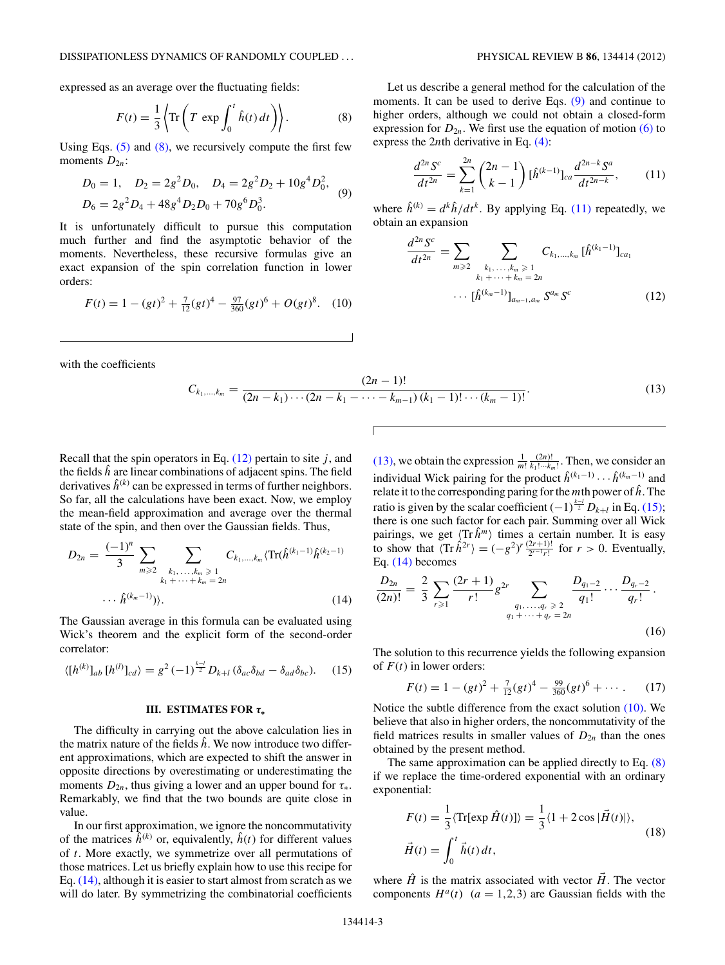<span id="page-2-0"></span>expressed as an average over the fluctuating fields:

$$
F(t) = \frac{1}{3} \left\langle \text{Tr} \left( T \, \exp \int_0^t \hat{h}(t) \, dt \right) \right\rangle. \tag{8}
$$

Using Eqs.  $(5)$  and  $(8)$ , we recursively compute the first few moments  $D_{2n}$ :

$$
D_0 = 1, \quad D_2 = 2g^2 D_0, \quad D_4 = 2g^2 D_2 + 10g^4 D_0^2,
$$
  

$$
D_6 = 2g^2 D_4 + 48g^4 D_2 D_0 + 70g^6 D_0^3.
$$
 (9)

It is unfortunately difficult to pursue this computation much further and find the asymptotic behavior of the moments. Nevertheless, these recursive formulas give an exact expansion of the spin correlation function in lower orders:

$$
F(t) = 1 - (gt)^2 + \frac{7}{12}(gt)^4 - \frac{97}{360}(gt)^6 + O(gt)^8.
$$
 (10)

with the coefficients

Let us describe a general method for the calculation of the moments. It can be used to derive Eqs. (9) and continue to higher orders, although we could not obtain a closed-form expression for  $D_{2n}$ . We first use the equation of motion [\(6\)](#page-1-0) to express the 2*n*th derivative in Eq. [\(4\):](#page-1-0)

$$
\frac{d^{2n}S^c}{dt^{2n}} = \sum_{k=1}^{2n} \binom{2n-1}{k-1} [\hat{h}^{(k-1)}]_{ca} \frac{d^{2n-k}S^a}{dt^{2n-k}},\tag{11}
$$

where  $\hat{h}^{(k)} = d^k \hat{h} / dt^k$ . By applying Eq. (11) repeatedly, we obtain an expansion

$$
\frac{d^{2n} S^{c}}{dt^{2n}} = \sum_{m \geq 2} \sum_{\substack{k_1, \ldots, k_m \geq 1 \\ k_1 + \cdots + k_m = 2n}} C_{k_1, \ldots, k_m} [\hat{h}^{(k_1 - 1)}]_{ca_1}
$$

$$
\cdots [\hat{h}^{(k_m - 1)}]_{a_{m-1}, a_m} S^{a_m} S^c \qquad (12)
$$

$$
C_{k_1,\ldots,k_m} = \frac{(2n-1)!}{(2n-k_1)\cdots(2n-k_1-\cdots-k_{m-1})(k_1-1)!\cdots(k_m-1)!}.
$$
\n(13)

Recall that the spin operators in Eq.  $(12)$  pertain to site *j*, and the fields  $\hat{h}$  are linear combinations of adjacent spins. The field derivatives  $\hat{h}^{(k)}$  can be expressed in terms of further neighbors. So far, all the calculations have been exact. Now, we employ the mean-field approximation and average over the thermal state of the spin, and then over the Gaussian fields. Thus,

$$
D_{2n} = \frac{(-1)^n}{3} \sum_{m \geq 2} \sum_{\substack{k_1, \ldots, k_m \geq 1 \\ k_1 + \cdots + k_m = 2n}} C_{k_1, \ldots, k_m} \langle \operatorname{Tr}(\hat{h}^{(k_1-1)} \hat{h}^{(k_2-1)} \cdots \hat{h}^{(k_m-1)}) \rangle. \tag{14}
$$

The Gaussian average in this formula can be evaluated using Wick's theorem and the explicit form of the second-order correlator:

$$
\langle [h^{(k)}]_{ab} [h^{(l)}]_{cd} \rangle = g^2 (-1)^{\frac{k-l}{2}} D_{k+l} (\delta_{ac} \delta_{bd} - \delta_{ad} \delta_{bc}). \tag{15}
$$

#### **III. ESTIMATES FOR** *τ***<sup>∗</sup>**

The difficulty in carrying out the above calculation lies in the matrix nature of the fields  $\hat{h}$ . We now introduce two different approximations, which are expected to shift the answer in opposite directions by overestimating or underestimating the moments  $D_{2n}$ , thus giving a lower and an upper bound for  $\tau_*$ . Remarkably, we find that the two bounds are quite close in value.

In our first approximation, we ignore the noncommutativity of the matrices  $\hat{h}^{(k)}$  or, equivalently,  $\hat{h}(t)$  for different values of *t*. More exactly, we symmetrize over all permutations of those matrices. Let us briefly explain how to use this recipe for Eq. (14), although it is easier to start almost from scratch as we will do later. By symmetrizing the combinatorial coefficients

(13), we obtain the expression  $\frac{1}{m!} \frac{(2n)!}{k_1! \cdots k_m!}$ . Then, we consider an individual Wick pairing for the product  $\hat{h}^{(k_1-1)} \cdots \hat{h}^{(k_m-1)}$  and relate it to the corresponding paring for the *m*th power of *h*ˆ. The ratio is given by the scalar coefficient  $(-1)^{\frac{k-l}{2}} D_{k+l}$  in Eq. (15); there is one such factor for each pair. Summing over all Wick pairings, we get  $\langle \text{Tr} \hat{h}^m \rangle$  times a certain number. It is easy to show that  $\langle \text{Tr} \hat{h}^{2r} \rangle = (-g^2)^r \frac{(2r+1)!}{2^{r-1}r!}$  for  $r > 0$ . Eventually, Eq. (14) becomes

$$
\frac{D_{2n}}{(2n)!} = \frac{2}{3} \sum_{r \geq 1} \frac{(2r+1)}{r!} g^{2r} \sum_{\substack{q_1, \ldots, q_r \geq 2 \\ q_1 + \cdots + q_r = 2n}} \frac{D_{q_1-2}}{q_1!} \cdots \frac{D_{q_r-2}}{q_r!}.
$$
\n(16)

The solution to this recurrence yields the following expansion of *F*(*t*) in lower orders:

$$
F(t) = 1 - (gt)^{2} + \frac{7}{12}(gt)^{4} - \frac{99}{360}(gt)^{6} + \cdots
$$
 (17)

Notice the subtle difference from the exact solution (10). We believe that also in higher orders, the noncommutativity of the field matrices results in smaller values of  $D_{2n}$  than the ones obtained by the present method.

The same approximation can be applied directly to Eq. (8) if we replace the time-ordered exponential with an ordinary exponential:

$$
F(t) = \frac{1}{3} \langle \text{Tr}[\exp \hat{H}(t)] \rangle = \frac{1}{3} \langle 1 + 2 \cos |\hat{H}(t)| \rangle,
$$
  

$$
\vec{H}(t) = \int_0^t \vec{h}(t) dt,
$$
 (18)

where  $\hat{H}$  is the matrix associated with vector  $\hat{H}$ . The vector components  $H^a(t)$  ( $a = 1,2,3$ ) are Gaussian fields with the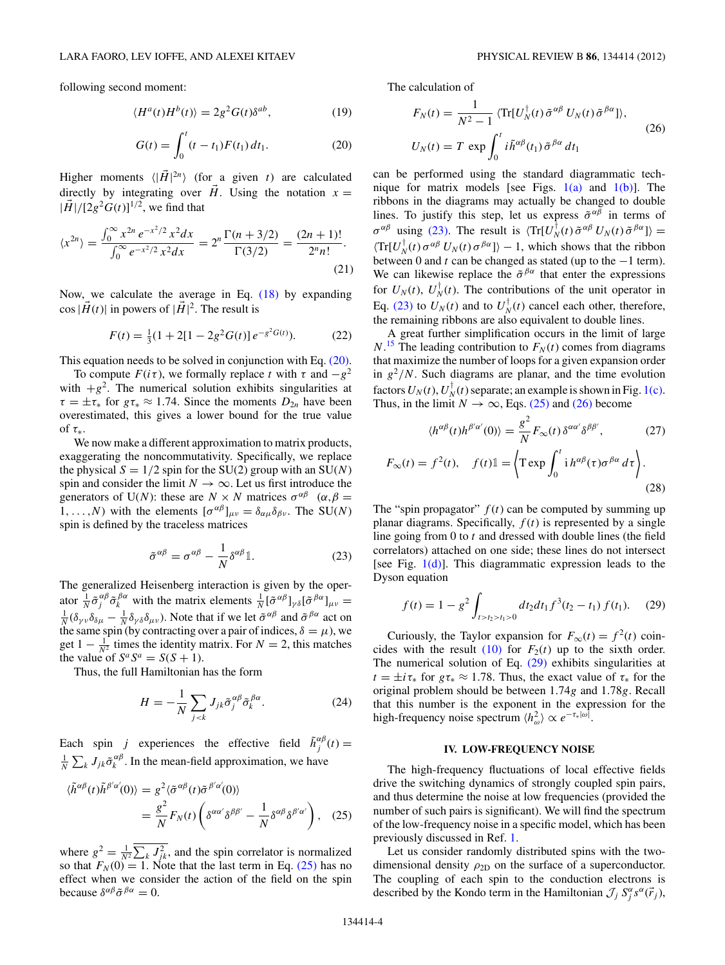<span id="page-3-0"></span>following second moment:

$$
\langle H^a(t)H^b(t)\rangle = 2g^2 G(t)\delta^{ab},\qquad(19)
$$

$$
G(t) = \int_0^t (t - t_1) F(t_1) dt_1.
$$
 (20)

Higher moments  $\langle |\vec{H}|^{2n} \rangle$  (for a given *t*) are calculated directly by integrating over  $\vec{H}$ . Using the notation  $x =$  $|\vec{H}|/[2g^2G(t)]^{1/2}$ , we find that

$$
\langle x^{2n} \rangle = \frac{\int_0^\infty x^{2n} e^{-x^2/2} x^2 dx}{\int_0^\infty e^{-x^2/2} x^2 dx} = 2^n \frac{\Gamma(n+3/2)}{\Gamma(3/2)} = \frac{(2n+1)!}{2^n n!}.
$$
\n(21)

Now, we calculate the average in Eq. [\(18\)](#page-2-0) by expanding  $\cos|\vec{H}(t)|$  in powers of  $|\vec{H}|^2$ . The result is

$$
F(t) = \frac{1}{3}(1 + 2[1 - 2g^2 G(t)]e^{-g^2 G(t)}).
$$
 (22)

This equation needs to be solved in conjunction with Eq. (20).

To compute  $F(i\tau)$ , we formally replace *t* with  $\tau$  and  $-g^2$ with  $+g^2$ . The numerical solution exhibits singularities at  $\tau = \pm \tau_*$  for  $g\tau_* \approx 1.74$ . Since the moments  $D_{2n}$  have been overestimated, this gives a lower bound for the true value of *τ*∗.

We now make a different approximation to matrix products, exaggerating the noncommutativity. Specifically, we replace the physical  $S = 1/2$  spin for the SU(2) group with an SU(N) spin and consider the limit  $N \to \infty$ . Let us first introduce the generators of U(*N*): these are  $N \times N$  matrices  $\sigma^{\alpha\beta}$  ( $\alpha, \beta$ ) 1, . . . , *N*) with the elements  $[\sigma^{\alpha\beta}]_{\mu\nu} = \delta_{\alpha\mu}\delta_{\beta\nu}$ . The SU(*N*) spin is defined by the traceless matrices

$$
\tilde{\sigma}^{\alpha\beta} = \sigma^{\alpha\beta} - \frac{1}{N} \delta^{\alpha\beta} \mathbb{1}.
$$
 (23)

The generalized Heisenberg interaction is given by the operator  $\frac{1}{N} \tilde{\sigma}^{\alpha \beta}_{j} \tilde{\sigma}^{\beta \alpha}_{k}$  with the matrix elements  $\frac{1}{N} [\tilde{\sigma}^{\alpha \beta}]_{\gamma \delta} [\tilde{\sigma}^{\beta \alpha}]_{\mu \nu} =$ <br> $\frac{1}{N} (\delta \delta_{\alpha} - \delta_{\alpha} - \delta_{\alpha} \delta_{\alpha})$ . Note that if we let  $\tilde{\sigma}^{\alpha \beta}$  and  $\tilde{\sigma}^{\beta \alpha}$  act on  $\frac{1}{N}(\delta_{\gamma\nu}\delta_{\delta\mu} - \frac{1}{N}\delta_{\gamma\delta}\delta_{\mu\nu})$ . Note that if we let  $\tilde{\sigma}^{\alpha\beta}$  and  $\tilde{\sigma}^{\beta\alpha}$  act on the same spin (by contracting over a pair of indices,  $\delta = \mu$ ), we get  $1 - \frac{1}{N^2}$  times the identity matrix. For  $N = 2$ , this matches the value of  $S^a S^a = S(S + 1)$ .

Thus, the full Hamiltonian has the form

$$
H = -\frac{1}{N} \sum_{j < k} J_{jk} \tilde{\sigma}_j^{\alpha\beta} \tilde{\sigma}_k^{\beta\alpha}.
$$
\n(24)

Each spin *j* experiences the effective field  $\tilde{h}^{\alpha\beta}_j(t) =$  $\frac{1}{N} \sum_{k} J_{jk} \tilde{\sigma}_{k}^{\alpha\beta}$ . In the mean-field approximation, we have

$$
\langle \tilde{h}^{\alpha\beta}(t)\tilde{h}^{\beta'\alpha'}(0)\rangle = g^2 \langle \tilde{\sigma}^{\alpha\beta}(t)\tilde{\sigma}^{\beta'\alpha'}(0)\rangle
$$
  

$$
= \frac{g^2}{N}F_N(t)\left(\delta^{\alpha\alpha'}\delta^{\beta\beta'} - \frac{1}{N}\delta^{\alpha\beta}\delta^{\beta'\alpha'}\right), \quad (25)
$$

where  $g^2 = \frac{1}{N^2} \sum_k J_{jk}^2$ , and the spin correlator is normalized so that  $F_N(0) = 1$ . Note that the last term in Eq. (25) has no effect when we consider the action of the field on the spin because  $\delta^{\alpha\beta}\tilde{\sigma}^{\beta\alpha} = 0$ .

The calculation of

$$
F_N(t) = \frac{1}{N^2 - 1} \langle \text{Tr}[U_N^{\dagger}(t) \tilde{\sigma}^{\alpha \beta} U_N(t) \tilde{\sigma}^{\beta \alpha}] \rangle,
$$
  
\n
$$
U_N(t) = T \exp \int_0^t i \tilde{h}^{\alpha \beta}(t_1) \tilde{\sigma}^{\beta \alpha} dt_1
$$
\n(26)

can be performed using the standard diagrammatic technique for matrix models [see Figs.  $1(a)$  and  $1(b)$ ]. The ribbons in the diagrams may actually be changed to double lines. To justify this step, let us express  $\tilde{\sigma}^{\alpha\bar{\beta}}$  in terms of  $\sigma^{\alpha\beta}$  using (23). The result is  $\langle \text{Tr}[U_N^{\dagger}(t) \tilde{\sigma}^{\alpha\beta} U_N(t) \tilde{\sigma}^{\beta\alpha}] \rangle =$  $\langle \text{Tr}[U_N^{\dagger}(t) \sigma^{\alpha \beta} U_N(t) \sigma^{\beta \alpha}] \rangle - 1$ , which shows that the ribbon between 0 and *t* can be changed as stated (up to the −1 term). We can likewise replace the  $\tilde{\sigma}^{\beta\alpha}$  that enter the expressions for  $U_N(t)$ ,  $U_N^{\dagger}(t)$ . The contributions of the unit operator in Eq. (23) to  $U_N(t)$  and to  $U_N^{\dagger}(t)$  cancel each other, therefore, the remaining ribbons are also equivalent to double lines.

A great further simplification occurs in the limit of large  $N$ .<sup>[15](#page-5-0)</sup> The leading contribution to  $F_N(t)$  comes from diagrams that maximize the number of loops for a given expansion order in  $g^2/N$ . Such diagrams are planar, and the time evolution factors  $U_N(t)$ ,  $U_N^{\dagger}(t)$  separate; an example is shown in Fig. [1\(c\).](#page-4-0) Thus, in the limit  $N \to \infty$ , Eqs. (25) and (26) become

$$
\langle h^{\alpha\beta}(t)h^{\beta'\alpha'}(0)\rangle = \frac{g^2}{N}F_{\infty}(t)\,\delta^{\alpha\alpha'}\delta^{\beta\beta'},\tag{27}
$$
\n
$$
F_{\infty}(t) = f^2(t), \quad f(t)\mathbb{1} = \left\langle \mathbf{T} \exp \int_0^t \mathrm{i} \, h^{\alpha\beta}(\tau)\sigma^{\beta\alpha} \, d\tau \right\rangle.
$$
\n
$$
\tag{28}
$$

The "spin propagator"  $f(t)$  can be computed by summing up planar diagrams. Specifically,  $f(t)$  is represented by a single line going from 0 to *t* and dressed with double lines (the field correlators) attached on one side; these lines do not intersect [see Fig. [1\(d\)\]](#page-4-0). This diagrammatic expression leads to the Dyson equation

$$
f(t) = 1 - g^2 \int_{t > t_2 > t_1 > 0} dt_2 dt_1 f^3(t_2 - t_1) f(t_1).
$$
 (29)

Curiously, the Taylor expansion for  $F_{\infty}(t) = f^2(t)$  coincides with the result  $(10)$  for  $F_2(t)$  up to the sixth order. The numerical solution of Eq. (29) exhibits singularities at  $t = \pm i \tau_*$  for  $g\tau_* \approx 1.78$ . Thus, the exact value of  $\tau_*$  for the original problem should be between 1*.*74*g* and 1*.*78*g*. Recall that this number is the exponent in the expression for the high-frequency noise spectrum  $\langle h_{\omega}^2 \rangle \propto e^{-\tau_*|\omega|}$ .

#### **IV. LOW-FREQUENCY NOISE**

The high-frequency fluctuations of local effective fields drive the switching dynamics of strongly coupled spin pairs, and thus determine the noise at low frequencies (provided the number of such pairs is significant). We will find the spectrum of the low-frequency noise in a specific model, which has been previously discussed in Ref. [1.](#page-5-0)

Let us consider randomly distributed spins with the twodimensional density  $\rho_{2D}$  on the surface of a superconductor. The coupling of each spin to the conduction electrons is described by the Kondo term in the Hamiltonian  $\mathcal{J}_j S_j^{\alpha} s^{\alpha}(\vec{r}_j)$ ,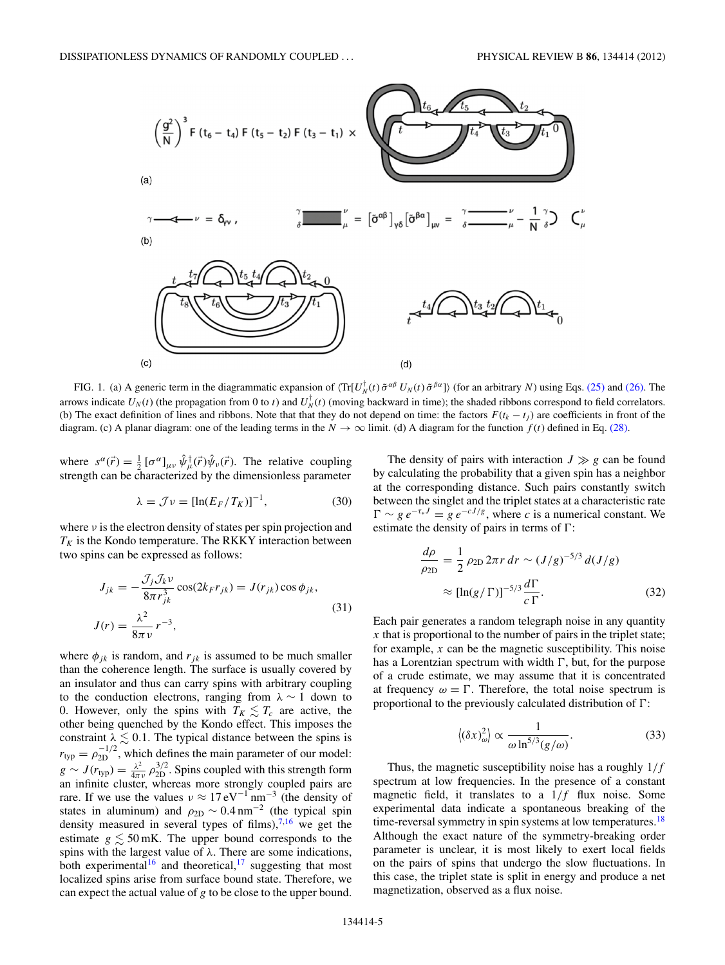<span id="page-4-0"></span>

FIG. 1. (a) A generic term in the diagrammatic expansion of  $\langle \text{Tr}[U_N^{\dagger}(t) \tilde{\sigma}^{\alpha \beta} U_N(t) \tilde{\sigma}^{\beta \alpha}] \rangle$  (for an arbitrary *N*) using Eqs. [\(25\)](#page-3-0) and [\(26\).](#page-3-0) The arrows indicate  $U_N(t)$  (the propagation from 0 to *t*) and  $U_N^{\dagger}(t)$  (moving backward in time); the shaded ribbons correspond to field correlators. (b) The exact definition of lines and ribbons. Note that that they do not depend on time: the factors  $F(t_k - t_j)$  are coefficients in front of the diagram. (c) A planar diagram: one of the leading terms in the  $N \to \infty$  limit. (d) A diagram for the function  $f(t)$  defined in Eq. [\(28\).](#page-3-0)

where  $s^{\alpha}(\vec{r}) = \frac{1}{2} [\sigma^{\alpha}]_{\mu\nu} \hat{\psi}_{\mu}^{\dagger}(\vec{r}) \hat{\psi}_{\nu}(\vec{r})$ . The relative coupling strength can be characterized by the dimensionless parameter

$$
\lambda = \mathcal{J}\nu = [\ln(E_F/T_K)]^{-1},\tag{30}
$$

where  $\nu$  is the electron density of states per spin projection and  $T_K$  is the Kondo temperature. The RKKY interaction between two spins can be expressed as follows:

$$
J_{jk} = -\frac{\mathcal{J}_j \mathcal{J}_k v}{8\pi r_{jk}^3} \cos(2k_F r_{jk}) = J(r_{jk}) \cos \phi_{jk},
$$
  

$$
J(r) = \frac{\lambda^2}{8\pi v} r^{-3},
$$
 (31)

where  $\phi_{jk}$  is random, and  $r_{jk}$  is assumed to be much smaller than the coherence length. The surface is usually covered by an insulator and thus can carry spins with arbitrary coupling to the conduction electrons, ranging from *λ* ∼ 1 down to 0. However, only the spins with  $T_K \lesssim T_c$  are active, the other being quenched by the Kondo effect. This imposes the constraint  $\lambda \lesssim 0.1$ . The typical distance between the spins is  $r_{typ} = \rho_{2D}^{-1/2}$ , which defines the main parameter of our model:  $g \sim J(r_{typ}) = \frac{\lambda^2}{4\pi \nu} \rho_{2D}^{3/2}$ . Spins coupled with this strength form an infinite cluster, whereas more strongly coupled pairs are rare. If we use the values  $v \approx 17 \text{ eV}^{-1} \text{ nm}^{-3}$  (the density of states in aluminum) and  $\rho_{2D} \sim 0.4 \text{ nm}^{-2}$  (the typical spin density measured in several types of films), $^{7,16}$  $^{7,16}$  $^{7,16}$  we get the estimate  $g \lesssim 50$  mK. The upper bound corresponds to the spins with the largest value of *λ*. There are some indications, both experimental<sup>16</sup> and theoretical,<sup>[17](#page-5-0)</sup> suggesting that most localized spins arise from surface bound state. Therefore, we can expect the actual value of *g* to be close to the upper bound.

The density of pairs with interaction  $J \gg g$  can be found by calculating the probability that a given spin has a neighbor at the corresponding distance. Such pairs constantly switch between the singlet and the triplet states at a characteristic rate  $\Gamma \sim g \, e^{-\tau_* J} = g \, e^{-c J/g}$ , where *c* is a numerical constant. We estimate the density of pairs in terms of  $\Gamma$ :

$$
\frac{d\rho}{\rho_{2D}} = \frac{1}{2} \rho_{2D} 2\pi r \, dr \sim (J/g)^{-5/3} d(J/g)
$$

$$
\approx [\ln(g/\Gamma)]^{-5/3} \frac{d\Gamma}{c\Gamma}.
$$
(32)

Each pair generates a random telegraph noise in any quantity *x* that is proportional to the number of pairs in the triplet state; for example, *x* can be the magnetic susceptibility. This noise has a Lorentzian spectrum with width  $\Gamma$ , but, for the purpose of a crude estimate, we may assume that it is concentrated at frequency  $\omega = \Gamma$ . Therefore, the total noise spectrum is proportional to the previously calculated distribution of  $\Gamma$ :

$$
\langle (\delta x)_\omega^2 \rangle \propto \frac{1}{\omega \ln^{5/3}(g/\omega)}.\tag{33}
$$

Thus, the magnetic susceptibility noise has a roughly 1*/f* spectrum at low frequencies. In the presence of a constant magnetic field, it translates to a 1*/f* flux noise. Some experimental data indicate a spontaneous breaking of the time-reversal symmetry in spin systems at low temperatures.<sup>18</sup> Although the exact nature of the symmetry-breaking order parameter is unclear, it is most likely to exert local fields on the pairs of spins that undergo the slow fluctuations. In this case, the triplet state is split in energy and produce a net magnetization, observed as a flux noise.